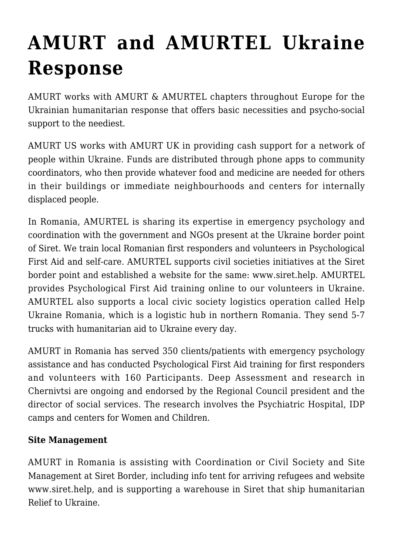## **[AMURT and AMURTEL Ukraine](https://crimsondawn.net/amurt-ukraine-response/) [Response](https://crimsondawn.net/amurt-ukraine-response/)**

AMURT works with AMURT & AMURTEL chapters throughout Europe for the Ukrainian humanitarian response that offers basic necessities and psycho-social support to the neediest.

AMURT US works with AMURT UK in providing cash support for a network of people within Ukraine. Funds are distributed through phone apps to community coordinators, who then provide whatever food and medicine are needed for others in their buildings or immediate neighbourhoods and centers for internally displaced people.

In Romania, AMURTEL is sharing its expertise in emergency psychology and coordination with the government and NGOs present at the Ukraine border point of Siret. We train local Romanian first responders and volunteers in Psychological First Aid and self-care. AMURTEL supports civil societies initiatives at the Siret border point and established a website for the same: [www.siret.help.](https://siret.help/) AMURTEL provides Psychological First Aid training online to our volunteers in Ukraine. AMURTEL also supports a local civic society logistics operation called [Help](https://helpukraineromania.org/) [Ukraine Romania](https://helpukraineromania.org/), which is a logistic hub in northern Romania. They send 5-7 trucks with humanitarian aid to Ukraine every day.

AMURT in Romania has served 350 clients/patients with emergency psychology assistance and has conducted Psychological First Aid training for first responders and volunteers with 160 Participants. Deep Assessment and research in Chernivtsi are ongoing and endorsed by the Regional Council president and the director of social services. The research involves the Psychiatric Hospital, IDP camps and centers for Women and Children.

## **Site Management**

AMURT in Romania is assisting with Coordination or Civil Society and Site Management at Siret Border, including info tent for arriving refugees and website www.siret.help, and is supporting a warehouse in Siret that ship humanitarian Relief to Ukraine.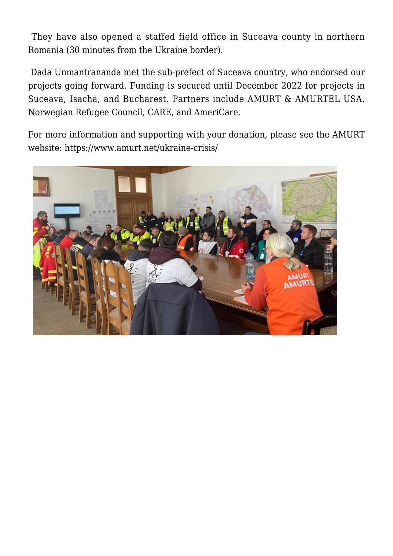They have also opened a staffed field office in Suceava county in northern Romania (30 minutes from the Ukraine border).

 Dada Unmantrananda met the sub-prefect of Suceava country, who endorsed our projects going forward. Funding is secured until December 2022 for projects in Suceava, Isacha, and Bucharest. Partners include AMURT & AMURTEL USA, Norwegian Refugee Council, CARE, and AmeriCare.

For more information and supporting with your donation, please see the AMURT website: <https://www.amurt.net/ukraine-crisis/>